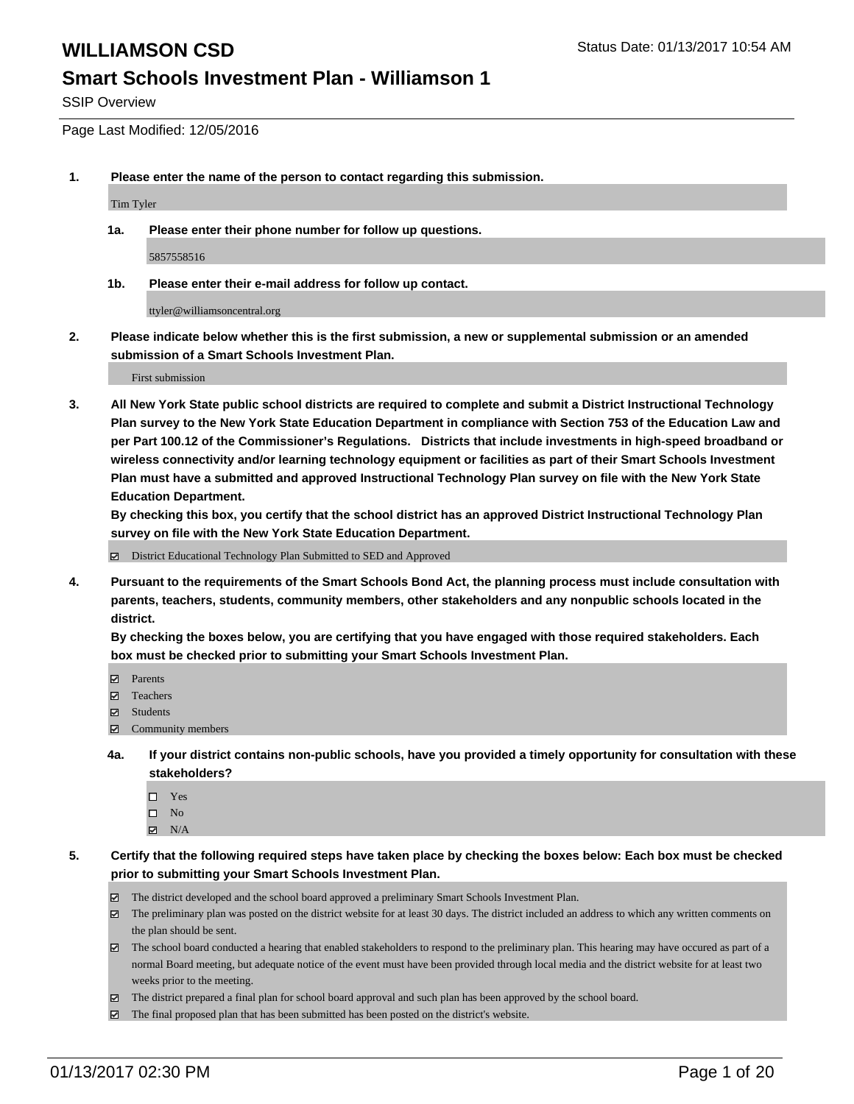SSIP Overview

Page Last Modified: 12/05/2016

**1. Please enter the name of the person to contact regarding this submission.**

Tim Tyler

**1a. Please enter their phone number for follow up questions.**

5857558516

**1b. Please enter their e-mail address for follow up contact.**

ttyler@williamsoncentral.org

**2. Please indicate below whether this is the first submission, a new or supplemental submission or an amended submission of a Smart Schools Investment Plan.**

First submission

**3. All New York State public school districts are required to complete and submit a District Instructional Technology Plan survey to the New York State Education Department in compliance with Section 753 of the Education Law and per Part 100.12 of the Commissioner's Regulations. Districts that include investments in high-speed broadband or wireless connectivity and/or learning technology equipment or facilities as part of their Smart Schools Investment Plan must have a submitted and approved Instructional Technology Plan survey on file with the New York State Education Department.** 

**By checking this box, you certify that the school district has an approved District Instructional Technology Plan survey on file with the New York State Education Department.**

District Educational Technology Plan Submitted to SED and Approved

**4. Pursuant to the requirements of the Smart Schools Bond Act, the planning process must include consultation with parents, teachers, students, community members, other stakeholders and any nonpublic schools located in the district.** 

**By checking the boxes below, you are certifying that you have engaged with those required stakeholders. Each box must be checked prior to submitting your Smart Schools Investment Plan.**

- **Parents**
- Teachers
- **冈** Students
- Community members
- **4a. If your district contains non-public schools, have you provided a timely opportunity for consultation with these stakeholders?**
	- □ Yes
	- $\square$  No
	- $\boxtimes$  N/A
- **5. Certify that the following required steps have taken place by checking the boxes below: Each box must be checked prior to submitting your Smart Schools Investment Plan.**
	- The district developed and the school board approved a preliminary Smart Schools Investment Plan.
	- The preliminary plan was posted on the district website for at least 30 days. The district included an address to which any written comments on the plan should be sent.
	- The school board conducted a hearing that enabled stakeholders to respond to the preliminary plan. This hearing may have occured as part of a normal Board meeting, but adequate notice of the event must have been provided through local media and the district website for at least two weeks prior to the meeting.
	- The district prepared a final plan for school board approval and such plan has been approved by the school board.
	- $\boxtimes$  The final proposed plan that has been submitted has been posted on the district's website.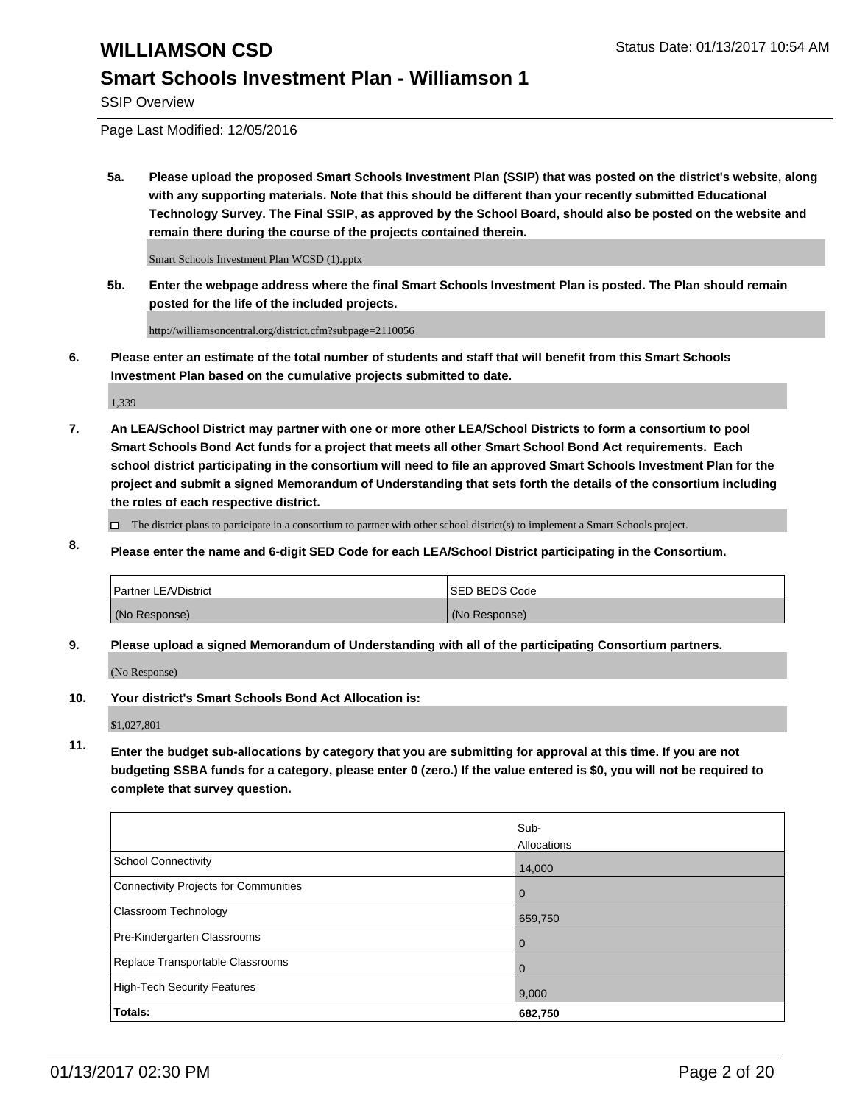SSIP Overview

Page Last Modified: 12/05/2016

**5a. Please upload the proposed Smart Schools Investment Plan (SSIP) that was posted on the district's website, along with any supporting materials. Note that this should be different than your recently submitted Educational Technology Survey. The Final SSIP, as approved by the School Board, should also be posted on the website and remain there during the course of the projects contained therein.**

Smart Schools Investment Plan WCSD (1).pptx

**5b. Enter the webpage address where the final Smart Schools Investment Plan is posted. The Plan should remain posted for the life of the included projects.**

http://williamsoncentral.org/district.cfm?subpage=2110056

**6. Please enter an estimate of the total number of students and staff that will benefit from this Smart Schools Investment Plan based on the cumulative projects submitted to date.**

1,339

- **7. An LEA/School District may partner with one or more other LEA/School Districts to form a consortium to pool Smart Schools Bond Act funds for a project that meets all other Smart School Bond Act requirements. Each school district participating in the consortium will need to file an approved Smart Schools Investment Plan for the project and submit a signed Memorandum of Understanding that sets forth the details of the consortium including the roles of each respective district.**
	- $\Box$  The district plans to participate in a consortium to partner with other school district(s) to implement a Smart Schools project.
- **8. Please enter the name and 6-digit SED Code for each LEA/School District participating in the Consortium.**

| <b>Partner LEA/District</b> | <b>ISED BEDS Code</b> |
|-----------------------------|-----------------------|
| (No Response)               | (No Response)         |

**9. Please upload a signed Memorandum of Understanding with all of the participating Consortium partners.**

(No Response)

**10. Your district's Smart Schools Bond Act Allocation is:**

\$1,027,801

**11. Enter the budget sub-allocations by category that you are submitting for approval at this time. If you are not budgeting SSBA funds for a category, please enter 0 (zero.) If the value entered is \$0, you will not be required to complete that survey question.**

|                                       | Sub-        |
|---------------------------------------|-------------|
|                                       | Allocations |
| <b>School Connectivity</b>            | 14,000      |
| Connectivity Projects for Communities | $\Omega$    |
| <b>Classroom Technology</b>           | 659,750     |
| Pre-Kindergarten Classrooms           | 0           |
| Replace Transportable Classrooms      |             |
| High-Tech Security Features           | 9,000       |
| <b>Totals:</b>                        | 682,750     |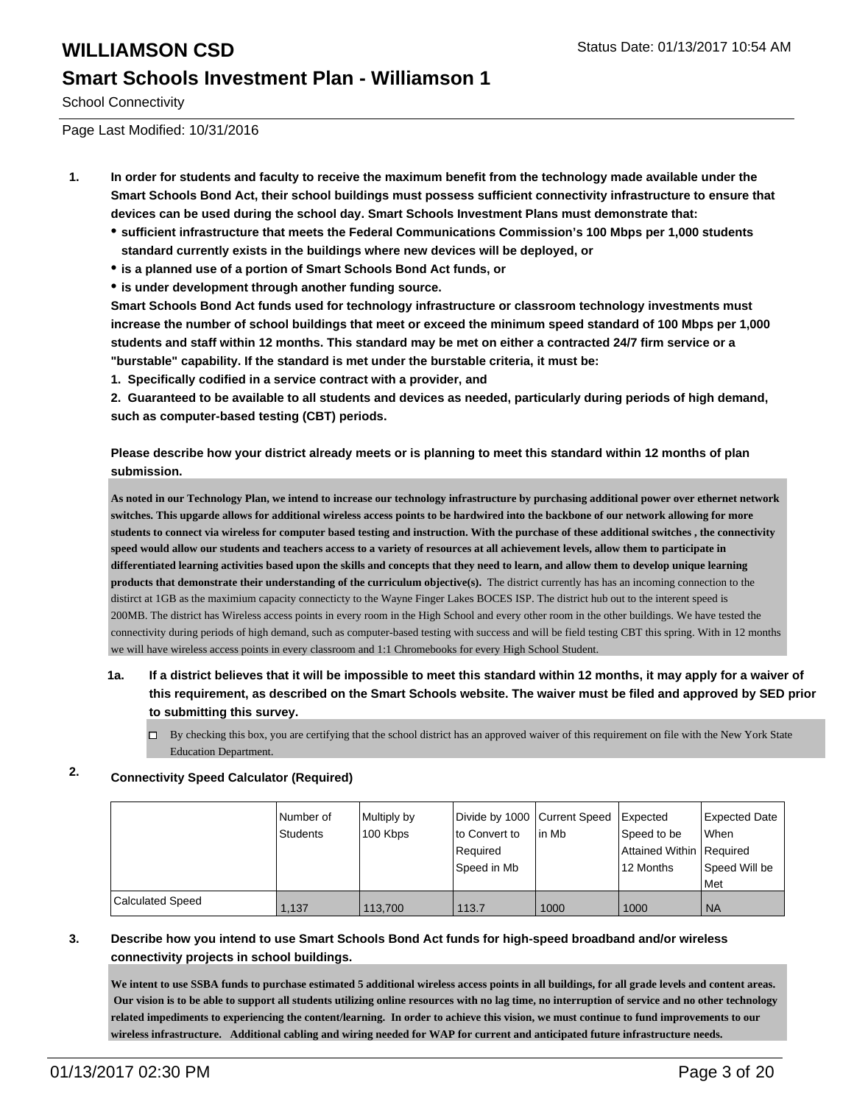School Connectivity

Page Last Modified: 10/31/2016

- **1. In order for students and faculty to receive the maximum benefit from the technology made available under the Smart Schools Bond Act, their school buildings must possess sufficient connectivity infrastructure to ensure that devices can be used during the school day. Smart Schools Investment Plans must demonstrate that:**
	- **sufficient infrastructure that meets the Federal Communications Commission's 100 Mbps per 1,000 students standard currently exists in the buildings where new devices will be deployed, or**
	- **is a planned use of a portion of Smart Schools Bond Act funds, or**
	- **is under development through another funding source.**

**Smart Schools Bond Act funds used for technology infrastructure or classroom technology investments must increase the number of school buildings that meet or exceed the minimum speed standard of 100 Mbps per 1,000 students and staff within 12 months. This standard may be met on either a contracted 24/7 firm service or a "burstable" capability. If the standard is met under the burstable criteria, it must be:**

**1. Specifically codified in a service contract with a provider, and**

**2. Guaranteed to be available to all students and devices as needed, particularly during periods of high demand, such as computer-based testing (CBT) periods.**

**Please describe how your district already meets or is planning to meet this standard within 12 months of plan submission.**

**As noted in our Technology Plan, we intend to increase our technology infrastructure by purchasing additional power over ethernet network switches. This upgarde allows for additional wireless access points to be hardwired into the backbone of our network allowing for more students to connect via wireless for computer based testing and instruction. With the purchase of these additional switches , the connectivity speed would allow our students and teachers access to a variety of resources at all achievement levels, allow them to participate in differentiated learning activities based upon the skills and concepts that they need to learn, and allow them to develop unique learning products that demonstrate their understanding of the curriculum objective(s).** The district currently has has an incoming connection to the distirct at 1GB as the maximium capacity connecticty to the Wayne Finger Lakes BOCES ISP. The district hub out to the interent speed is 200MB. The district has Wireless access points in every room in the High School and every other room in the other buildings. We have tested the connectivity during periods of high demand, such as computer-based testing with success and will be field testing CBT this spring. With in 12 months we will have wireless access points in every classroom and 1:1 Chromebooks for every High School Student.

- **1a. If a district believes that it will be impossible to meet this standard within 12 months, it may apply for a waiver of this requirement, as described on the Smart Schools website. The waiver must be filed and approved by SED prior to submitting this survey.**
	- By checking this box, you are certifying that the school district has an approved waiver of this requirement on file with the New York State Education Department.

## **2. Connectivity Speed Calculator (Required)**

|                         | Number of<br>Students | Multiply by<br>100 Kbps | Divide by 1000 Current Speed<br>to Convert to<br>Required<br>Speed in Mb | lin Mb | Expected<br>Speed to be<br>Attained Within Required<br>12 Months | <b>Expected Date</b><br>When<br>Speed Will be<br>l Met |
|-------------------------|-----------------------|-------------------------|--------------------------------------------------------------------------|--------|------------------------------------------------------------------|--------------------------------------------------------|
| <b>Calculated Speed</b> | 1,137                 | 113.700                 | 113.7                                                                    | 1000   | 1000                                                             | <b>NA</b>                                              |

### **3. Describe how you intend to use Smart Schools Bond Act funds for high-speed broadband and/or wireless connectivity projects in school buildings.**

**We intent to use SSBA funds to purchase estimated 5 additional wireless access points in all buildings, for all grade levels and content areas. Our vision is to be able to support all students utilizing online resources with no lag time, no interruption of service and no other technology related impediments to experiencing the content/learning. In order to achieve this vision, we must continue to fund improvements to our wireless infrastructure. Additional cabling and wiring needed for WAP for current and anticipated future infrastructure needs.**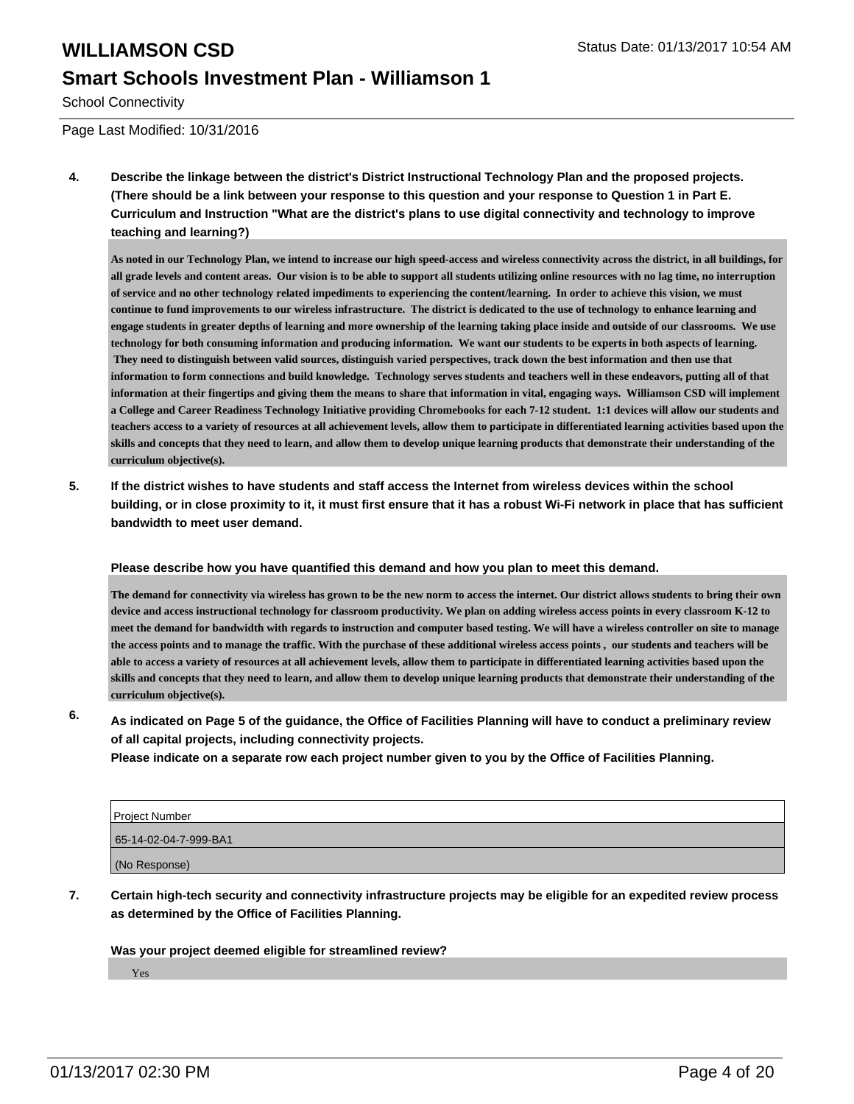School Connectivity

Page Last Modified: 10/31/2016

**4. Describe the linkage between the district's District Instructional Technology Plan and the proposed projects. (There should be a link between your response to this question and your response to Question 1 in Part E. Curriculum and Instruction "What are the district's plans to use digital connectivity and technology to improve teaching and learning?)**

**As noted in our Technology Plan, we intend to increase our high speed-access and wireless connectivity across the district, in all buildings, for all grade levels and content areas. Our vision is to be able to support all students utilizing online resources with no lag time, no interruption of service and no other technology related impediments to experiencing the content/learning. In order to achieve this vision, we must continue to fund improvements to our wireless infrastructure. The district is dedicated to the use of technology to enhance learning and engage students in greater depths of learning and more ownership of the learning taking place inside and outside of our classrooms. We use technology for both consuming information and producing information. We want our students to be experts in both aspects of learning. They need to distinguish between valid sources, distinguish varied perspectives, track down the best information and then use that information to form connections and build knowledge. Technology serves students and teachers well in these endeavors, putting all of that information at their fingertips and giving them the means to share that information in vital, engaging ways. Williamson CSD will implement a College and Career Readiness Technology Initiative providing Chromebooks for each 7-12 student. 1:1 devices will allow our students and teachers access to a variety of resources at all achievement levels, allow them to participate in differentiated learning activities based upon the skills and concepts that they need to learn, and allow them to develop unique learning products that demonstrate their understanding of the curriculum objective(s).** 

**5. If the district wishes to have students and staff access the Internet from wireless devices within the school building, or in close proximity to it, it must first ensure that it has a robust Wi-Fi network in place that has sufficient bandwidth to meet user demand.**

**Please describe how you have quantified this demand and how you plan to meet this demand.**

**The demand for connectivity via wireless has grown to be the new norm to access the internet. Our district allows students to bring their own device and access instructional technology for classroom productivity. We plan on adding wireless access points in every classroom K-12 to meet the demand for bandwidth with regards to instruction and computer based testing. We will have a wireless controller on site to manage the access points and to manage the traffic. With the purchase of these additional wireless access points , our students and teachers will be able to access a variety of resources at all achievement levels, allow them to participate in differentiated learning activities based upon the skills and concepts that they need to learn, and allow them to develop unique learning products that demonstrate their understanding of the curriculum objective(s).** 

**6. As indicated on Page 5 of the guidance, the Office of Facilities Planning will have to conduct a preliminary review of all capital projects, including connectivity projects.**

**Please indicate on a separate row each project number given to you by the Office of Facilities Planning.**

| <b>Project Number</b> |
|-----------------------|
| 65-14-02-04-7-999-BA1 |
| (No Response)         |

**7. Certain high-tech security and connectivity infrastructure projects may be eligible for an expedited review process as determined by the Office of Facilities Planning.**

### **Was your project deemed eligible for streamlined review?**

Yes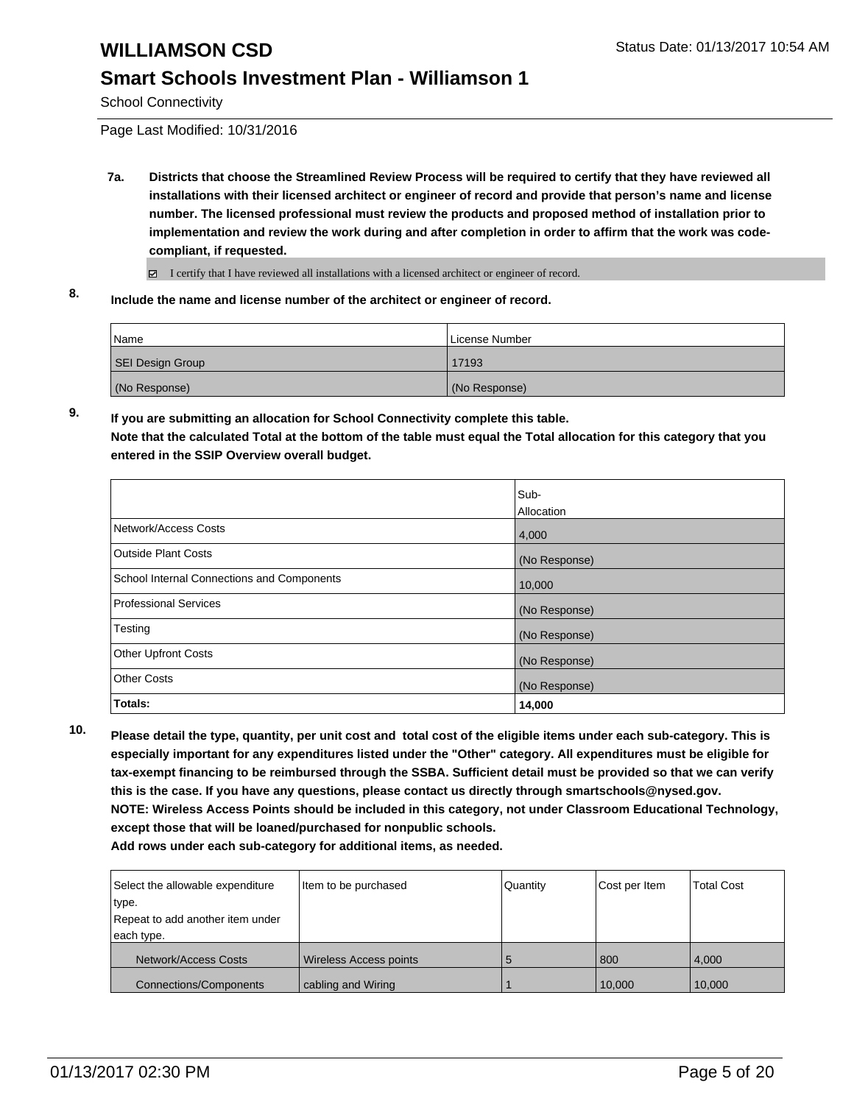School Connectivity

Page Last Modified: 10/31/2016

**7a. Districts that choose the Streamlined Review Process will be required to certify that they have reviewed all installations with their licensed architect or engineer of record and provide that person's name and license number. The licensed professional must review the products and proposed method of installation prior to implementation and review the work during and after completion in order to affirm that the work was codecompliant, if requested.**

■ I certify that I have reviewed all installations with a licensed architect or engineer of record.

**8. Include the name and license number of the architect or engineer of record.**

| <i>Name</i>             | License Number |
|-------------------------|----------------|
| <b>SEI Design Group</b> | 17193          |
| (No Response)           | (No Response)  |

**9. If you are submitting an allocation for School Connectivity complete this table. Note that the calculated Total at the bottom of the table must equal the Total allocation for this category that you entered in the SSIP Overview overall budget.** 

|                                            | Sub-              |
|--------------------------------------------|-------------------|
|                                            | <b>Allocation</b> |
| Network/Access Costs                       | 4,000             |
| <b>Outside Plant Costs</b>                 | (No Response)     |
| School Internal Connections and Components | 10,000            |
| <b>Professional Services</b>               | (No Response)     |
| Testing                                    | (No Response)     |
| <b>Other Upfront Costs</b>                 | (No Response)     |
| <b>Other Costs</b>                         | (No Response)     |
| Totals:                                    | 14,000            |

**10. Please detail the type, quantity, per unit cost and total cost of the eligible items under each sub-category. This is especially important for any expenditures listed under the "Other" category. All expenditures must be eligible for tax-exempt financing to be reimbursed through the SSBA. Sufficient detail must be provided so that we can verify this is the case. If you have any questions, please contact us directly through smartschools@nysed.gov. NOTE: Wireless Access Points should be included in this category, not under Classroom Educational Technology, except those that will be loaned/purchased for nonpublic schools.**

| Select the allowable expenditure<br>Item to be purchased |                        | Quantity | Cost per Item | <b>Total Cost</b> |
|----------------------------------------------------------|------------------------|----------|---------------|-------------------|
| type.                                                    |                        |          |               |                   |
| Repeat to add another item under                         |                        |          |               |                   |
| each type.                                               |                        |          |               |                   |
| Network/Access Costs                                     | Wireless Access points |          | 800           | 4.000             |
| <b>Connections/Components</b>                            | cabling and Wiring     |          | 10.000        | 10.000            |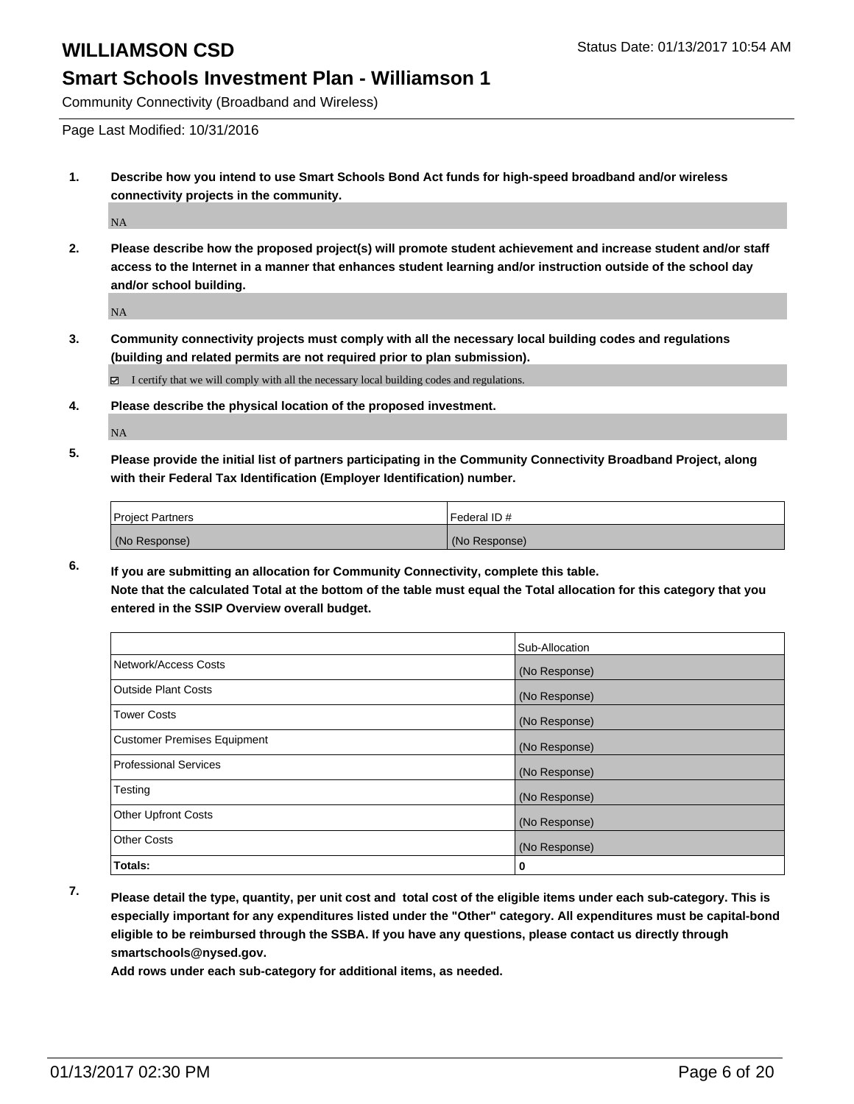Community Connectivity (Broadband and Wireless)

Page Last Modified: 10/31/2016

**1. Describe how you intend to use Smart Schools Bond Act funds for high-speed broadband and/or wireless connectivity projects in the community.**

NA

**2. Please describe how the proposed project(s) will promote student achievement and increase student and/or staff access to the Internet in a manner that enhances student learning and/or instruction outside of the school day and/or school building.**

NA

**3. Community connectivity projects must comply with all the necessary local building codes and regulations (building and related permits are not required prior to plan submission).**

 $\boxtimes$  I certify that we will comply with all the necessary local building codes and regulations.

**4. Please describe the physical location of the proposed investment.**

NA

**5. Please provide the initial list of partners participating in the Community Connectivity Broadband Project, along with their Federal Tax Identification (Employer Identification) number.**

| <b>Project Partners</b> | Federal ID #  |
|-------------------------|---------------|
| (No Response)           | (No Response) |

**6. If you are submitting an allocation for Community Connectivity, complete this table. Note that the calculated Total at the bottom of the table must equal the Total allocation for this category that you entered in the SSIP Overview overall budget.**

|                                    | Sub-Allocation |
|------------------------------------|----------------|
| Network/Access Costs               | (No Response)  |
| <b>Outside Plant Costs</b>         | (No Response)  |
| Tower Costs                        | (No Response)  |
| <b>Customer Premises Equipment</b> | (No Response)  |
| <b>Professional Services</b>       | (No Response)  |
| Testing                            | (No Response)  |
| <b>Other Upfront Costs</b>         | (No Response)  |
| <b>Other Costs</b>                 | (No Response)  |
| Totals:                            | 0              |

- 
- **7. Please detail the type, quantity, per unit cost and total cost of the eligible items under each sub-category. This is especially important for any expenditures listed under the "Other" category. All expenditures must be capital-bond eligible to be reimbursed through the SSBA. If you have any questions, please contact us directly through smartschools@nysed.gov.**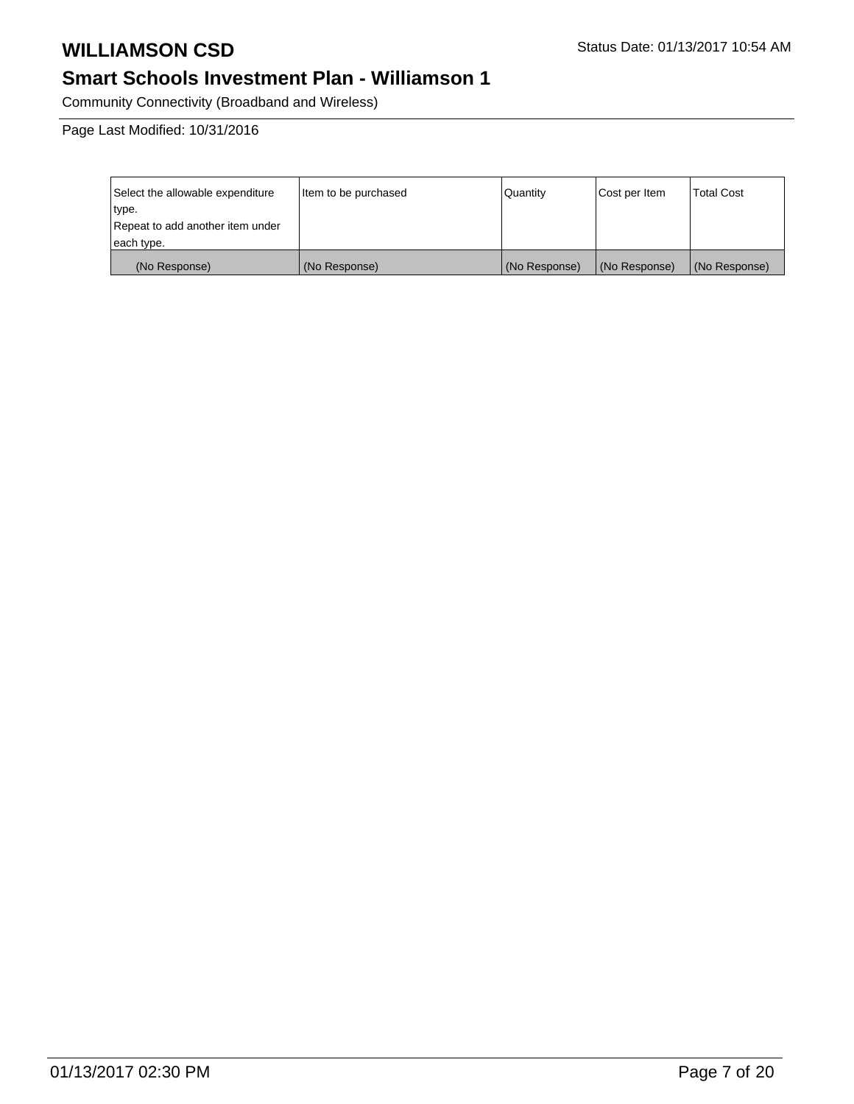Community Connectivity (Broadband and Wireless)

Page Last Modified: 10/31/2016

| Select the allowable expenditure | Item to be purchased | Quantity      | Cost per Item | Total Cost    |
|----------------------------------|----------------------|---------------|---------------|---------------|
| type.                            |                      |               |               |               |
| Repeat to add another item under |                      |               |               |               |
| each type.                       |                      |               |               |               |
| (No Response)                    | (No Response)        | (No Response) | (No Response) | (No Response) |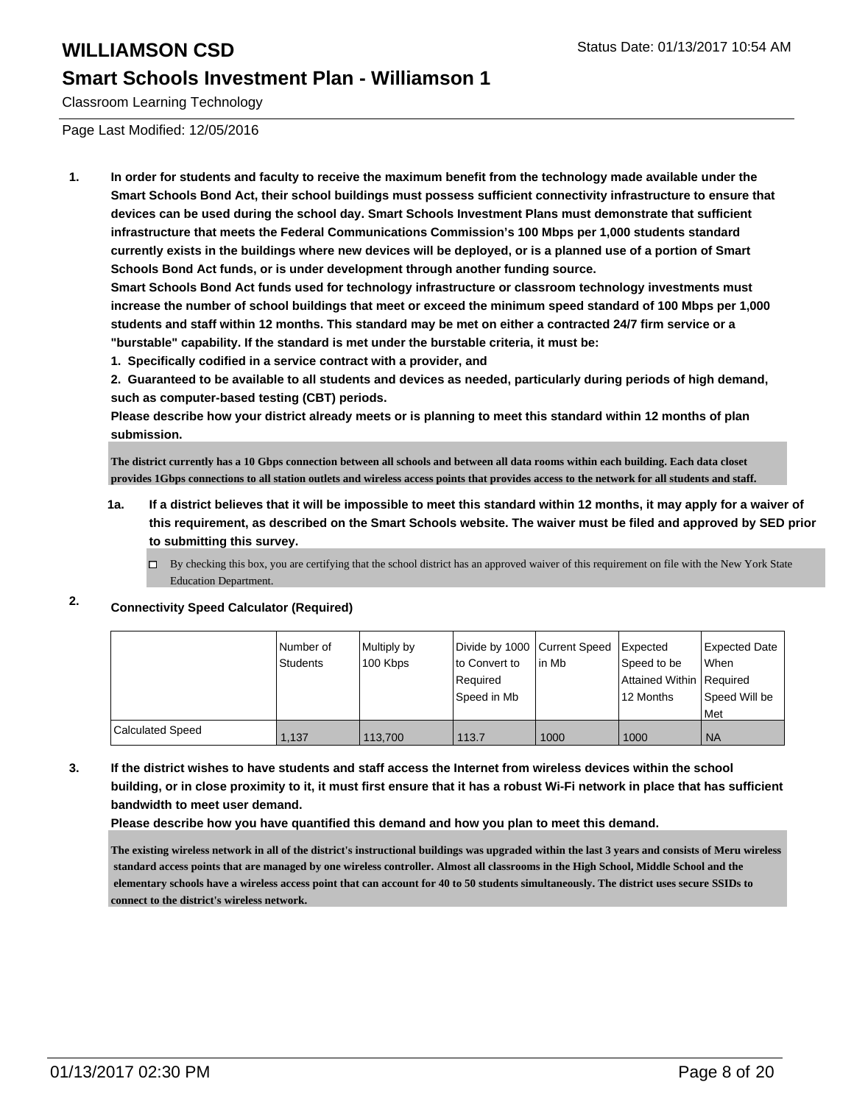Classroom Learning Technology

Page Last Modified: 12/05/2016

**1. In order for students and faculty to receive the maximum benefit from the technology made available under the Smart Schools Bond Act, their school buildings must possess sufficient connectivity infrastructure to ensure that devices can be used during the school day. Smart Schools Investment Plans must demonstrate that sufficient infrastructure that meets the Federal Communications Commission's 100 Mbps per 1,000 students standard currently exists in the buildings where new devices will be deployed, or is a planned use of a portion of Smart Schools Bond Act funds, or is under development through another funding source.**

**Smart Schools Bond Act funds used for technology infrastructure or classroom technology investments must increase the number of school buildings that meet or exceed the minimum speed standard of 100 Mbps per 1,000 students and staff within 12 months. This standard may be met on either a contracted 24/7 firm service or a "burstable" capability. If the standard is met under the burstable criteria, it must be:**

**1. Specifically codified in a service contract with a provider, and**

**2. Guaranteed to be available to all students and devices as needed, particularly during periods of high demand, such as computer-based testing (CBT) periods.**

**Please describe how your district already meets or is planning to meet this standard within 12 months of plan submission.**

**The district currently has a 10 Gbps connection between all schools and between all data rooms within each building. Each data closet provides 1Gbps connections to all station outlets and wireless access points that provides access to the network for all students and staff.**

- **1a. If a district believes that it will be impossible to meet this standard within 12 months, it may apply for a waiver of this requirement, as described on the Smart Schools website. The waiver must be filed and approved by SED prior to submitting this survey.**
	- $\Box$  By checking this box, you are certifying that the school district has an approved waiver of this requirement on file with the New York State Education Department.

## **2. Connectivity Speed Calculator (Required)**

|                         | l Number of<br>Students | Multiply by<br>100 Kbps | Divide by 1000 Current Speed   Expected<br>to Convert to<br>Required<br>Speed in Mb | l in Mb | Speed to be<br>Attained Within   Required<br>12 Months | Expected Date<br>l When<br>Speed Will be<br>l Met |
|-------------------------|-------------------------|-------------------------|-------------------------------------------------------------------------------------|---------|--------------------------------------------------------|---------------------------------------------------|
| <b>Calculated Speed</b> | 1.137                   | 113.700                 | 113.7                                                                               | 1000    | 1000                                                   | NA                                                |

**3. If the district wishes to have students and staff access the Internet from wireless devices within the school building, or in close proximity to it, it must first ensure that it has a robust Wi-Fi network in place that has sufficient bandwidth to meet user demand.**

**Please describe how you have quantified this demand and how you plan to meet this demand.**

**The existing wireless network in all of the district's instructional buildings was upgraded within the last 3 years and consists of Meru wireless standard access points that are managed by one wireless controller. Almost all classrooms in the High School, Middle School and the elementary schools have a wireless access point that can account for 40 to 50 students simultaneously. The district uses secure SSIDs to connect to the district's wireless network.**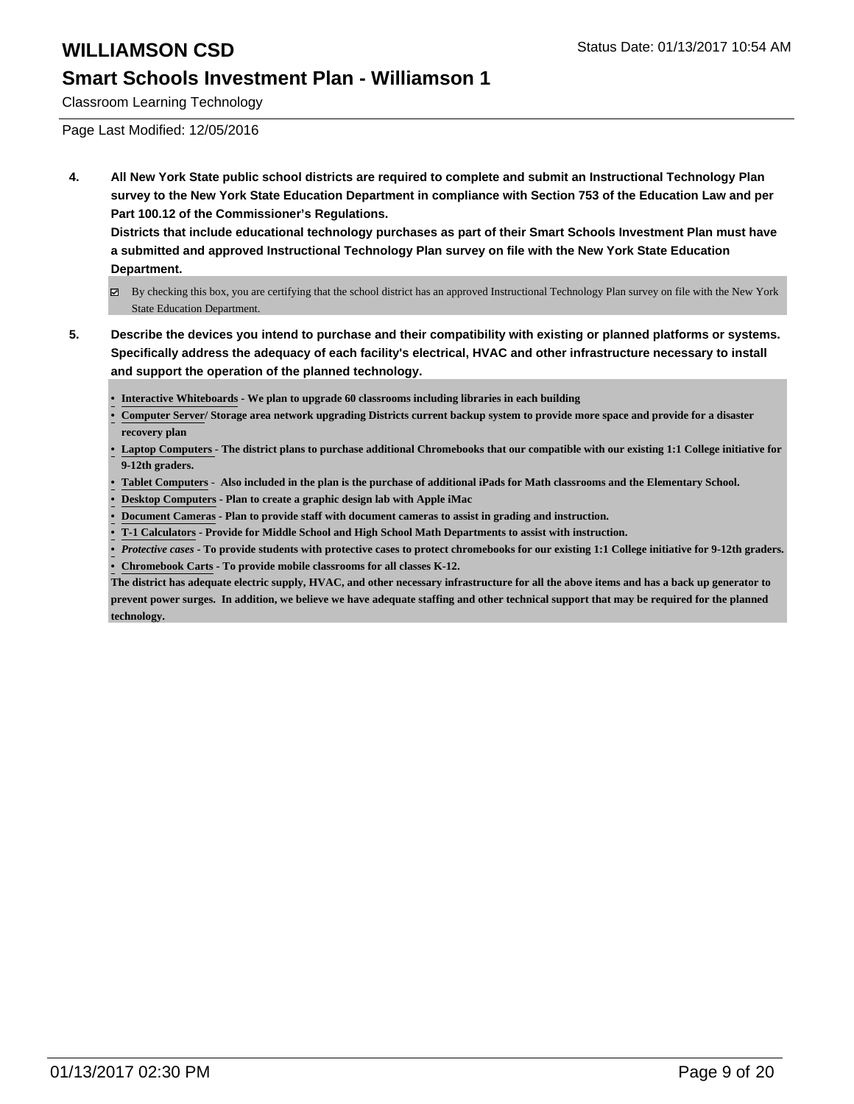Classroom Learning Technology

Page Last Modified: 12/05/2016

**4. All New York State public school districts are required to complete and submit an Instructional Technology Plan survey to the New York State Education Department in compliance with Section 753 of the Education Law and per Part 100.12 of the Commissioner's Regulations.**

**Districts that include educational technology purchases as part of their Smart Schools Investment Plan must have a submitted and approved Instructional Technology Plan survey on file with the New York State Education Department.**

- By checking this box, you are certifying that the school district has an approved Instructional Technology Plan survey on file with the New York State Education Department.
- **5. Describe the devices you intend to purchase and their compatibility with existing or planned platforms or systems. Specifically address the adequacy of each facility's electrical, HVAC and other infrastructure necessary to install and support the operation of the planned technology.**
	- **• Interactive Whiteboards We plan to upgrade 60 classrooms including libraries in each building**
	- **• Computer Server/ Storage area network upgrading Districts current backup system to provide more space and provide for a disaster recovery plan**
	- **• Laptop Computers The district plans to purchase additional Chromebooks that our compatible with our existing 1:1 College initiative for 9-12th graders.**
	- **• Tablet Computers Also included in the plan is the purchase of additional iPads for Math classrooms and the Elementary School.**
	- **• Desktop Computers Plan to create a graphic design lab with Apple iMac**
	- **• Document Cameras Plan to provide staff with document cameras to assist in grading and instruction.**
	- **• T-1 Calculators Provide for Middle School and High School Math Departments to assist with instruction.**
	- **•** *Protective cases* **To provide students with protective cases to protect chromebooks for our existing 1:1 College initiative for 9-12th graders.**
	- **• Chromebook Carts To provide mobile classrooms for all classes K-12.**

**The district has adequate electric supply, HVAC, and other necessary infrastructure for all the above items and has a back up generator to prevent power surges. In addition, we believe we have adequate staffing and other technical support that may be required for the planned technology.**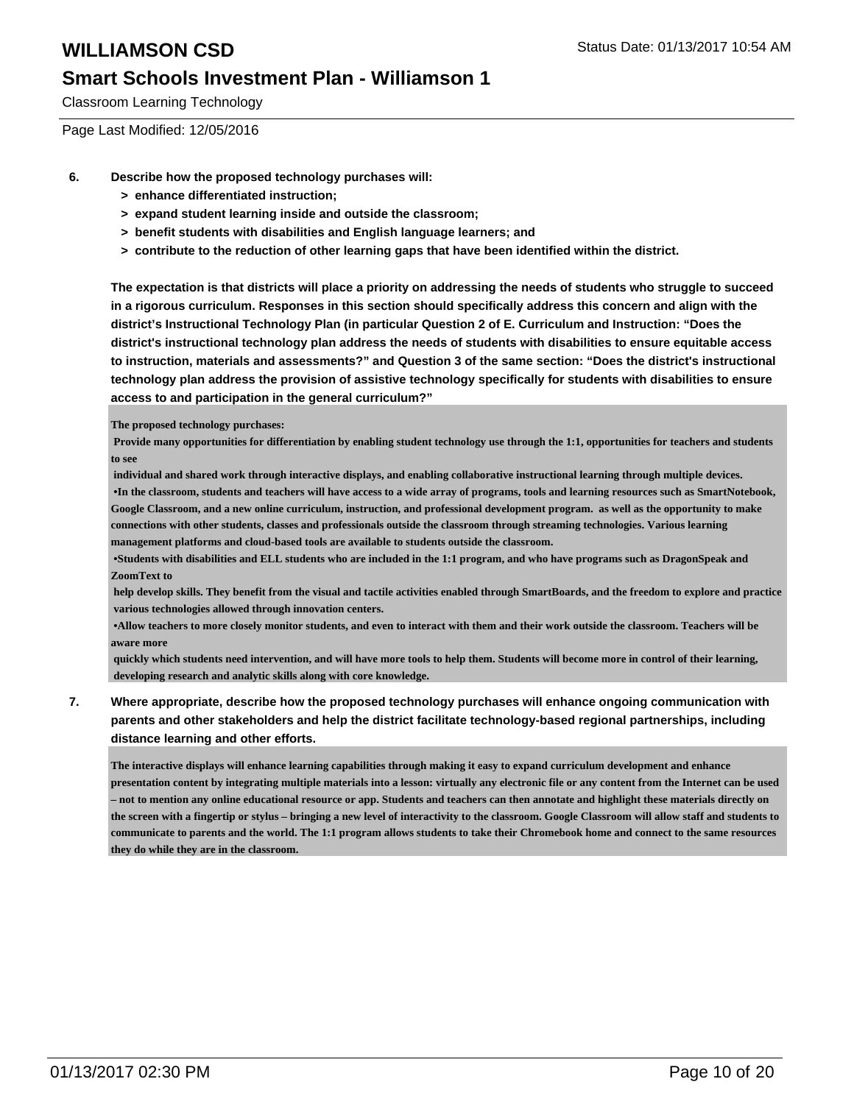Classroom Learning Technology

Page Last Modified: 12/05/2016

- **6. Describe how the proposed technology purchases will:**
	- **> enhance differentiated instruction;**
	- **> expand student learning inside and outside the classroom;**
	- **> benefit students with disabilities and English language learners; and**
	- **> contribute to the reduction of other learning gaps that have been identified within the district.**

**The expectation is that districts will place a priority on addressing the needs of students who struggle to succeed in a rigorous curriculum. Responses in this section should specifically address this concern and align with the district's Instructional Technology Plan (in particular Question 2 of E. Curriculum and Instruction: "Does the district's instructional technology plan address the needs of students with disabilities to ensure equitable access to instruction, materials and assessments?" and Question 3 of the same section: "Does the district's instructional technology plan address the provision of assistive technology specifically for students with disabilities to ensure access to and participation in the general curriculum?"**

**The proposed technology purchases:**

 **Provide many opportunities for differentiation by enabling student technology use through the 1:1, opportunities for teachers and students to see**

 **individual and shared work through interactive displays, and enabling collaborative instructional learning through multiple devices. •In the classroom, students and teachers will have access to a wide array of programs, tools and learning resources such as SmartNotebook, Google Classroom, and a new online curriculum, instruction, and professional development program. as well as the opportunity to make connections with other students, classes and professionals outside the classroom through streaming technologies. Various learning management platforms and cloud-based tools are available to students outside the classroom.**

 **•Students with disabilities and ELL students who are included in the 1:1 program, and who have programs such as DragonSpeak and ZoomText to**

 **help develop skills. They benefit from the visual and tactile activities enabled through SmartBoards, and the freedom to explore and practice various technologies allowed through innovation centers.**

 **•Allow teachers to more closely monitor students, and even to interact with them and their work outside the classroom. Teachers will be aware more**

 **quickly which students need intervention, and will have more tools to help them. Students will become more in control of their learning, developing research and analytic skills along with core knowledge.**

**7. Where appropriate, describe how the proposed technology purchases will enhance ongoing communication with parents and other stakeholders and help the district facilitate technology-based regional partnerships, including distance learning and other efforts.**

**The interactive displays will enhance learning capabilities through making it easy to expand curriculum development and enhance presentation content by integrating multiple materials into a lesson: virtually any electronic file or any content from the Internet can be used – not to mention any online educational resource or app. Students and teachers can then annotate and highlight these materials directly on the screen with a fingertip or stylus – bringing a new level of interactivity to the classroom. Google Classroom will allow staff and students to communicate to parents and the world. The 1:1 program allows students to take their Chromebook home and connect to the same resources they do while they are in the classroom.**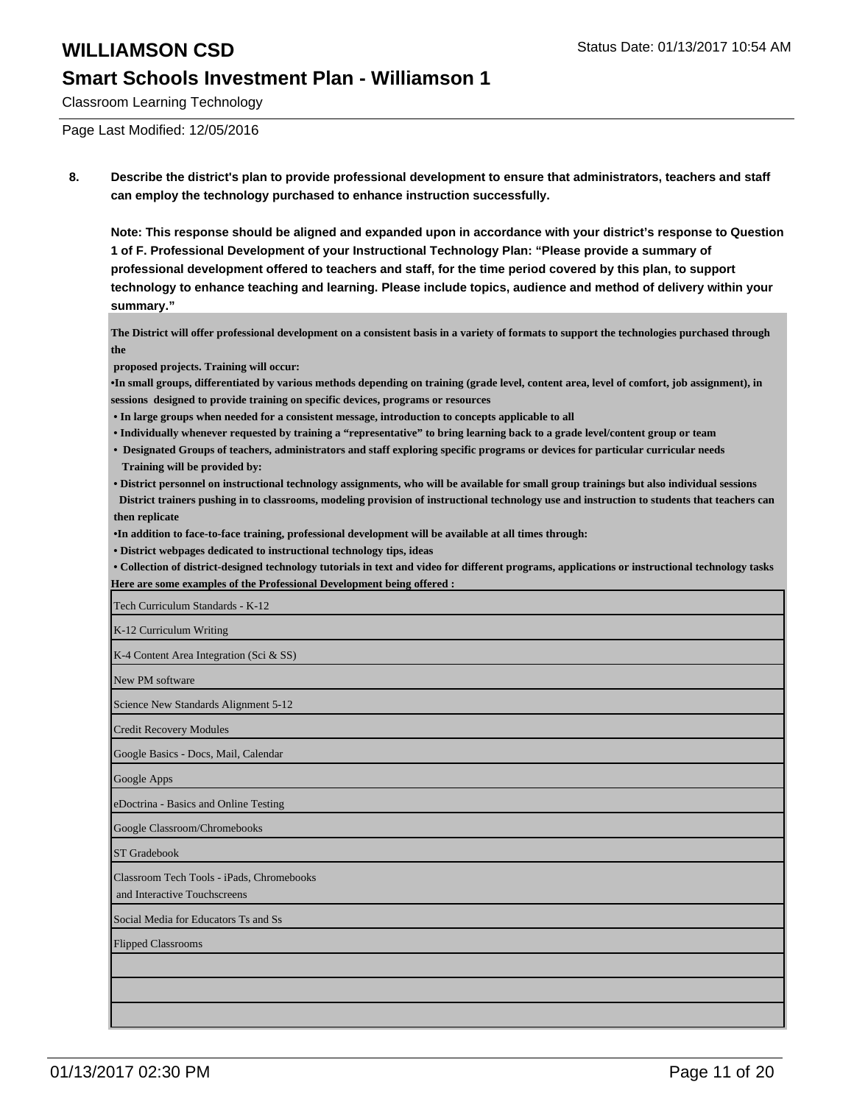Classroom Learning Technology

Page Last Modified: 12/05/2016

**8. Describe the district's plan to provide professional development to ensure that administrators, teachers and staff can employ the technology purchased to enhance instruction successfully.**

**Note: This response should be aligned and expanded upon in accordance with your district's response to Question 1 of F. Professional Development of your Instructional Technology Plan: "Please provide a summary of professional development offered to teachers and staff, for the time period covered by this plan, to support technology to enhance teaching and learning. Please include topics, audience and method of delivery within your summary."**

**The District will offer professional development on a consistent basis in a variety of formats to support the technologies purchased through the**

 **proposed projects. Training will occur:**

**•In small groups, differentiated by various methods depending on training (grade level, content area, level of comfort, job assignment), in sessions designed to provide training on specific devices, programs or resources**

- **In large groups when needed for a consistent message, introduction to concepts applicable to all**
- **Individually whenever requested by training a "representative" to bring learning back to a grade level/content group or team**
- **Designated Groups of teachers, administrators and staff exploring specific programs or devices for particular curricular needs Training will be provided by:**
- **District personnel on instructional technology assignments, who will be available for small group trainings but also individual sessions District trainers pushing in to classrooms, modeling provision of instructional technology use and instruction to students that teachers can then replicate**

 **•In addition to face-to-face training, professional development will be available at all times through:**

- **District webpages dedicated to instructional technology tips, ideas**
- **Collection of district-designed technology tutorials in text and video for different programs, applications or instructional technology tasks Here are some examples of the Professional Development being offered :**

Tech Curriculum Standards - K-12

K-12 Curriculum Writing

K-4 Content Area Integration (Sci & SS)

New PM software

Science New Standards Alignment 5-12

Credit Recovery Modules

Google Basics - Docs, Mail, Calendar

Google Apps

eDoctrina - Basics and Online Testing

Google Classroom/Chromebooks

ST Gradebook

Classroom Tech Tools - iPads, Chromebooks

and Interactive Touchscreens

Social Media for Educators Ts and Ss

Flipped Classrooms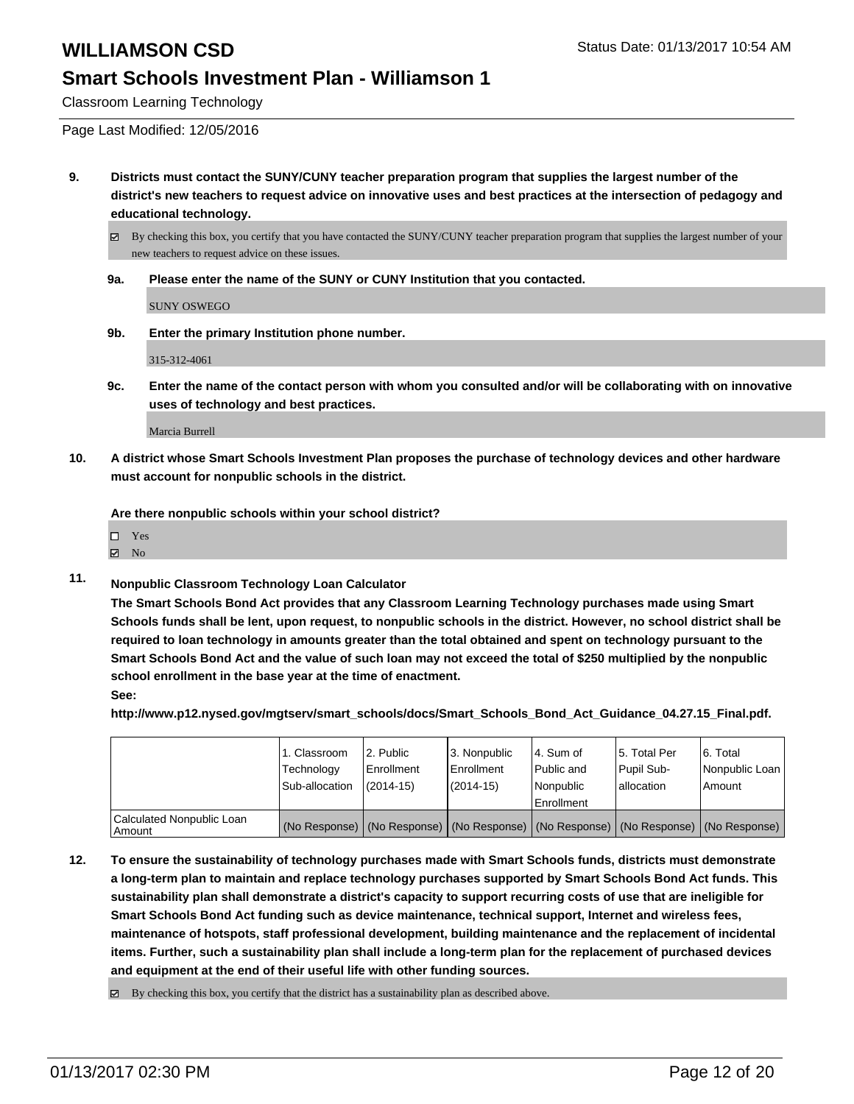Classroom Learning Technology

Page Last Modified: 12/05/2016

**9. Districts must contact the SUNY/CUNY teacher preparation program that supplies the largest number of the district's new teachers to request advice on innovative uses and best practices at the intersection of pedagogy and educational technology.**

By checking this box, you certify that you have contacted the SUNY/CUNY teacher preparation program that supplies the largest number of your new teachers to request advice on these issues.

**9a. Please enter the name of the SUNY or CUNY Institution that you contacted.**

SUNY OSWEGO

**9b. Enter the primary Institution phone number.**

315-312-4061

**9c. Enter the name of the contact person with whom you consulted and/or will be collaborating with on innovative uses of technology and best practices.**

Marcia Burrell

**10. A district whose Smart Schools Investment Plan proposes the purchase of technology devices and other hardware must account for nonpublic schools in the district.**

**Are there nonpublic schools within your school district?**

Yes

- $\boxtimes$  No
- **11. Nonpublic Classroom Technology Loan Calculator**

**The Smart Schools Bond Act provides that any Classroom Learning Technology purchases made using Smart Schools funds shall be lent, upon request, to nonpublic schools in the district. However, no school district shall be required to loan technology in amounts greater than the total obtained and spent on technology pursuant to the Smart Schools Bond Act and the value of such loan may not exceed the total of \$250 multiplied by the nonpublic school enrollment in the base year at the time of enactment.**

**See:**

**http://www.p12.nysed.gov/mgtserv/smart\_schools/docs/Smart\_Schools\_Bond\_Act\_Guidance\_04.27.15\_Final.pdf.**

|                                       | 1. Classroom<br>Technology<br>Sub-allocation | 2. Public<br><b>Enrollment</b><br>$(2014-15)$ | 3. Nonpublic<br>Enrollment<br>$(2014-15)$ | 4. Sum of<br>Public and<br>Nonpublic<br><b>Enrollment</b>                                     | 5. Total Per<br>Pupil Sub-<br>lallocation | 6. Total<br>Nonpublic Loan<br>l Amount |
|---------------------------------------|----------------------------------------------|-----------------------------------------------|-------------------------------------------|-----------------------------------------------------------------------------------------------|-------------------------------------------|----------------------------------------|
| Calculated Nonpublic Loan<br>l Amount |                                              |                                               |                                           | (No Response)   (No Response)   (No Response)   (No Response)   (No Response)   (No Response) |                                           |                                        |

- **12. To ensure the sustainability of technology purchases made with Smart Schools funds, districts must demonstrate a long-term plan to maintain and replace technology purchases supported by Smart Schools Bond Act funds. This sustainability plan shall demonstrate a district's capacity to support recurring costs of use that are ineligible for Smart Schools Bond Act funding such as device maintenance, technical support, Internet and wireless fees, maintenance of hotspots, staff professional development, building maintenance and the replacement of incidental items. Further, such a sustainability plan shall include a long-term plan for the replacement of purchased devices and equipment at the end of their useful life with other funding sources.**
	- $\boxtimes$  By checking this box, you certify that the district has a sustainability plan as described above.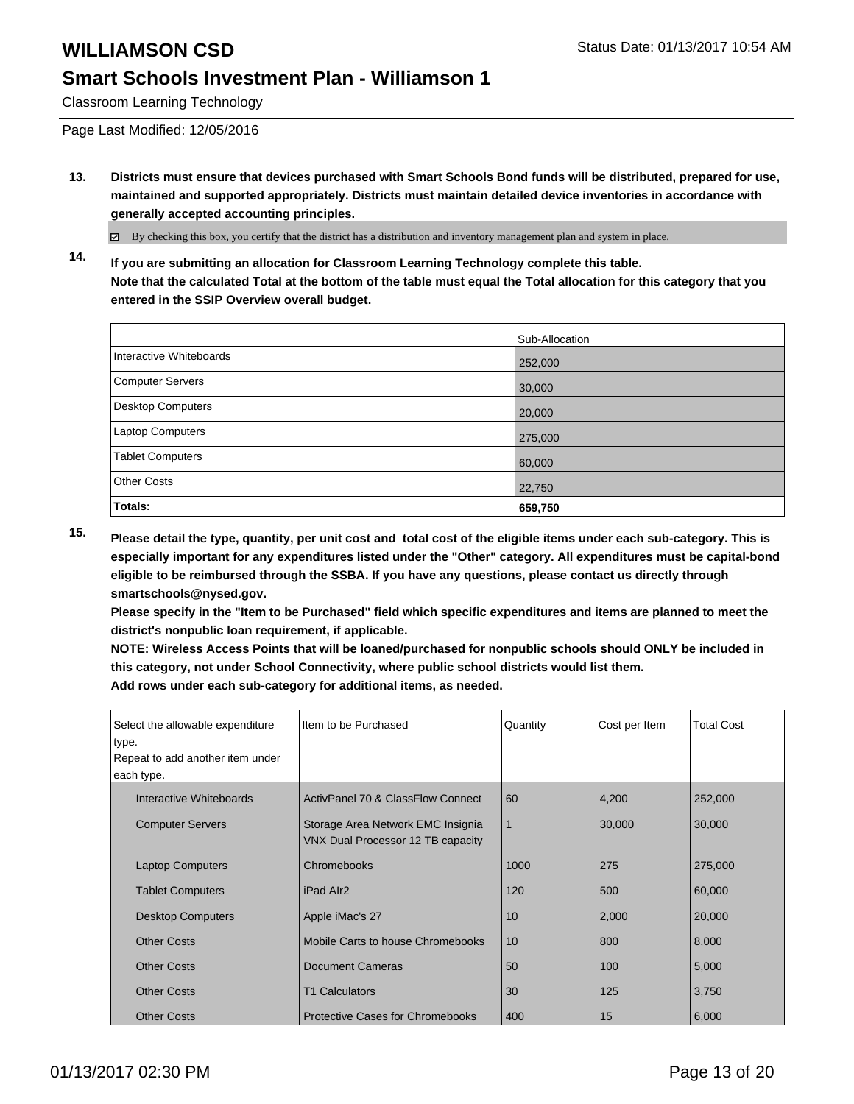Classroom Learning Technology

Page Last Modified: 12/05/2016

**13. Districts must ensure that devices purchased with Smart Schools Bond funds will be distributed, prepared for use, maintained and supported appropriately. Districts must maintain detailed device inventories in accordance with generally accepted accounting principles.**

By checking this box, you certify that the district has a distribution and inventory management plan and system in place.

**14. If you are submitting an allocation for Classroom Learning Technology complete this table. Note that the calculated Total at the bottom of the table must equal the Total allocation for this category that you entered in the SSIP Overview overall budget.**

|                          | Sub-Allocation |
|--------------------------|----------------|
| Interactive Whiteboards  | 252,000        |
| Computer Servers         | 30,000         |
| <b>Desktop Computers</b> | 20,000         |
| Laptop Computers         | 275,000        |
| <b>Tablet Computers</b>  | 60,000         |
| <b>Other Costs</b>       | 22,750         |
| Totals:                  | 659,750        |

**15. Please detail the type, quantity, per unit cost and total cost of the eligible items under each sub-category. This is especially important for any expenditures listed under the "Other" category. All expenditures must be capital-bond eligible to be reimbursed through the SSBA. If you have any questions, please contact us directly through smartschools@nysed.gov.**

**Please specify in the "Item to be Purchased" field which specific expenditures and items are planned to meet the district's nonpublic loan requirement, if applicable.**

**NOTE: Wireless Access Points that will be loaned/purchased for nonpublic schools should ONLY be included in this category, not under School Connectivity, where public school districts would list them. Add rows under each sub-category for additional items, as needed.**

| Select the allowable expenditure | Item to be Purchased                    | Quantity | Cost per Item | <b>Total Cost</b> |
|----------------------------------|-----------------------------------------|----------|---------------|-------------------|
| type.                            |                                         |          |               |                   |
| Repeat to add another item under |                                         |          |               |                   |
| each type.                       |                                         |          |               |                   |
| Interactive Whiteboards          | ActivPanel 70 & ClassFlow Connect       | 60       | 4,200         | 252,000           |
| <b>Computer Servers</b>          | Storage Area Network EMC Insignia       | 1        | 30,000        | 30,000            |
|                                  | VNX Dual Processor 12 TB capacity       |          |               |                   |
| <b>Laptop Computers</b>          | Chromebooks                             | 1000     | 275           | 275,000           |
| <b>Tablet Computers</b>          | iPad Alr2                               | 120      | 500           | 60,000            |
| <b>Desktop Computers</b>         | Apple iMac's 27                         | 10       | 2,000         | 20,000            |
| <b>Other Costs</b>               | Mobile Carts to house Chromebooks       | 10       | 800           | 8,000             |
| <b>Other Costs</b>               | <b>Document Cameras</b>                 | 50       | 100           | 5,000             |
| <b>Other Costs</b>               | <b>T1 Calculators</b>                   | 30       | 125           | 3,750             |
| <b>Other Costs</b>               | <b>Protective Cases for Chromebooks</b> | 400      | 15            | 6,000             |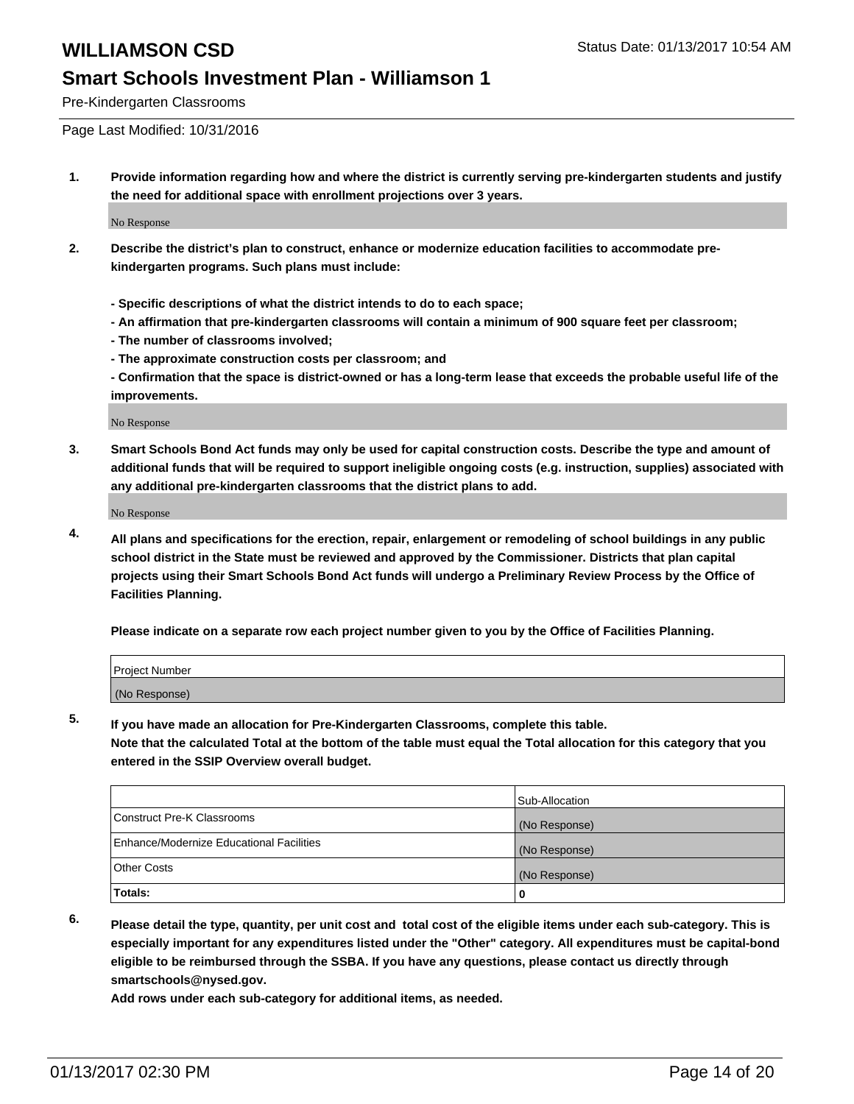Pre-Kindergarten Classrooms

Page Last Modified: 10/31/2016

**1. Provide information regarding how and where the district is currently serving pre-kindergarten students and justify the need for additional space with enrollment projections over 3 years.**

No Response

- **2. Describe the district's plan to construct, enhance or modernize education facilities to accommodate prekindergarten programs. Such plans must include:**
	- **Specific descriptions of what the district intends to do to each space;**
	- **An affirmation that pre-kindergarten classrooms will contain a minimum of 900 square feet per classroom;**
	- **The number of classrooms involved;**
	- **The approximate construction costs per classroom; and**
	- **Confirmation that the space is district-owned or has a long-term lease that exceeds the probable useful life of the improvements.**

No Response

**3. Smart Schools Bond Act funds may only be used for capital construction costs. Describe the type and amount of additional funds that will be required to support ineligible ongoing costs (e.g. instruction, supplies) associated with any additional pre-kindergarten classrooms that the district plans to add.**

No Response

**4. All plans and specifications for the erection, repair, enlargement or remodeling of school buildings in any public school district in the State must be reviewed and approved by the Commissioner. Districts that plan capital projects using their Smart Schools Bond Act funds will undergo a Preliminary Review Process by the Office of Facilities Planning.**

**Please indicate on a separate row each project number given to you by the Office of Facilities Planning.**

| Project Number |  |  |
|----------------|--|--|
| (No Response)  |  |  |

**5. If you have made an allocation for Pre-Kindergarten Classrooms, complete this table.**

**Note that the calculated Total at the bottom of the table must equal the Total allocation for this category that you entered in the SSIP Overview overall budget.**

|                                          | Sub-Allocation |
|------------------------------------------|----------------|
| Construct Pre-K Classrooms               | (No Response)  |
| Enhance/Modernize Educational Facilities | (No Response)  |
| <b>Other Costs</b>                       | (No Response)  |
| Totals:                                  |                |

**6. Please detail the type, quantity, per unit cost and total cost of the eligible items under each sub-category. This is especially important for any expenditures listed under the "Other" category. All expenditures must be capital-bond eligible to be reimbursed through the SSBA. If you have any questions, please contact us directly through smartschools@nysed.gov.**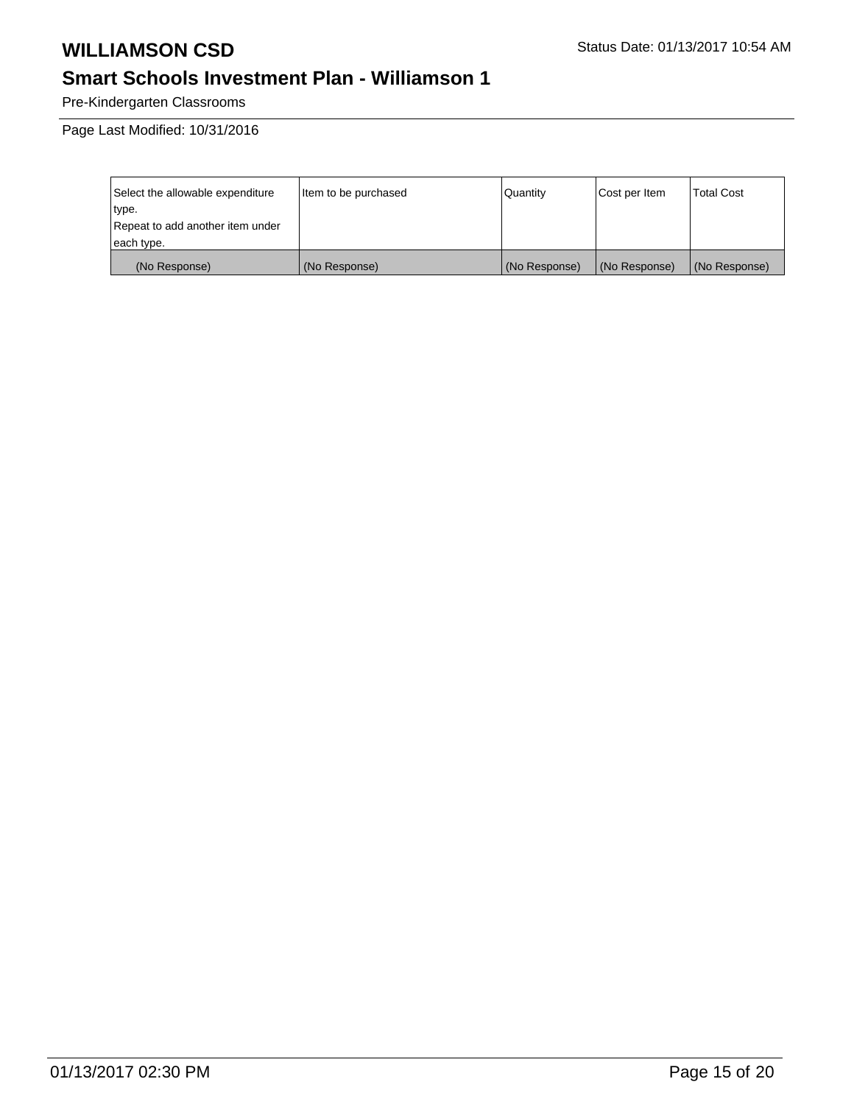# **WILLIAMSON CSD** Status Date: 01/13/2017 10:54 AM

# **Smart Schools Investment Plan - Williamson 1**

Pre-Kindergarten Classrooms

Page Last Modified: 10/31/2016

| Select the allowable expenditure | Item to be purchased | Quantity      | Cost per Item | <b>Total Cost</b> |
|----------------------------------|----------------------|---------------|---------------|-------------------|
| type.                            |                      |               |               |                   |
| Repeat to add another item under |                      |               |               |                   |
| each type.                       |                      |               |               |                   |
| (No Response)                    | (No Response)        | (No Response) | (No Response) | (No Response)     |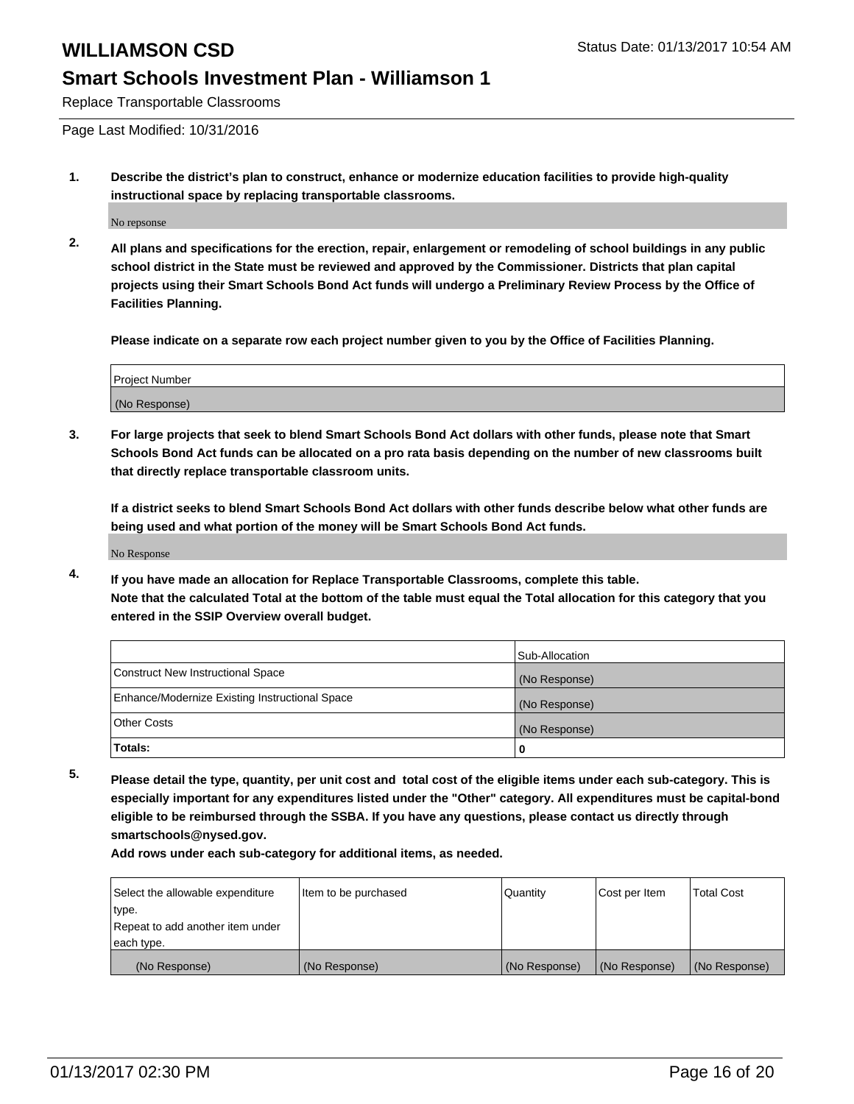Replace Transportable Classrooms

Page Last Modified: 10/31/2016

**1. Describe the district's plan to construct, enhance or modernize education facilities to provide high-quality instructional space by replacing transportable classrooms.**

No repsonse

**2. All plans and specifications for the erection, repair, enlargement or remodeling of school buildings in any public school district in the State must be reviewed and approved by the Commissioner. Districts that plan capital projects using their Smart Schools Bond Act funds will undergo a Preliminary Review Process by the Office of Facilities Planning.**

**Please indicate on a separate row each project number given to you by the Office of Facilities Planning.**

| <b>Project Number</b> |  |
|-----------------------|--|
| (No Response)         |  |

**3. For large projects that seek to blend Smart Schools Bond Act dollars with other funds, please note that Smart Schools Bond Act funds can be allocated on a pro rata basis depending on the number of new classrooms built that directly replace transportable classroom units.**

**If a district seeks to blend Smart Schools Bond Act dollars with other funds describe below what other funds are being used and what portion of the money will be Smart Schools Bond Act funds.**

No Response

**4. If you have made an allocation for Replace Transportable Classrooms, complete this table. Note that the calculated Total at the bottom of the table must equal the Total allocation for this category that you entered in the SSIP Overview overall budget.**

|                                                | Sub-Allocation |
|------------------------------------------------|----------------|
| Construct New Instructional Space              | (No Response)  |
| Enhance/Modernize Existing Instructional Space | (No Response)  |
| <b>Other Costs</b>                             | (No Response)  |
| Totals:                                        |                |

**5. Please detail the type, quantity, per unit cost and total cost of the eligible items under each sub-category. This is especially important for any expenditures listed under the "Other" category. All expenditures must be capital-bond eligible to be reimbursed through the SSBA. If you have any questions, please contact us directly through smartschools@nysed.gov.**

| Select the allowable expenditure | Item to be purchased | Quantity      | Cost per Item | <b>Total Cost</b> |
|----------------------------------|----------------------|---------------|---------------|-------------------|
| type.                            |                      |               |               |                   |
| Repeat to add another item under |                      |               |               |                   |
| each type.                       |                      |               |               |                   |
| (No Response)                    | (No Response)        | (No Response) | (No Response) | (No Response)     |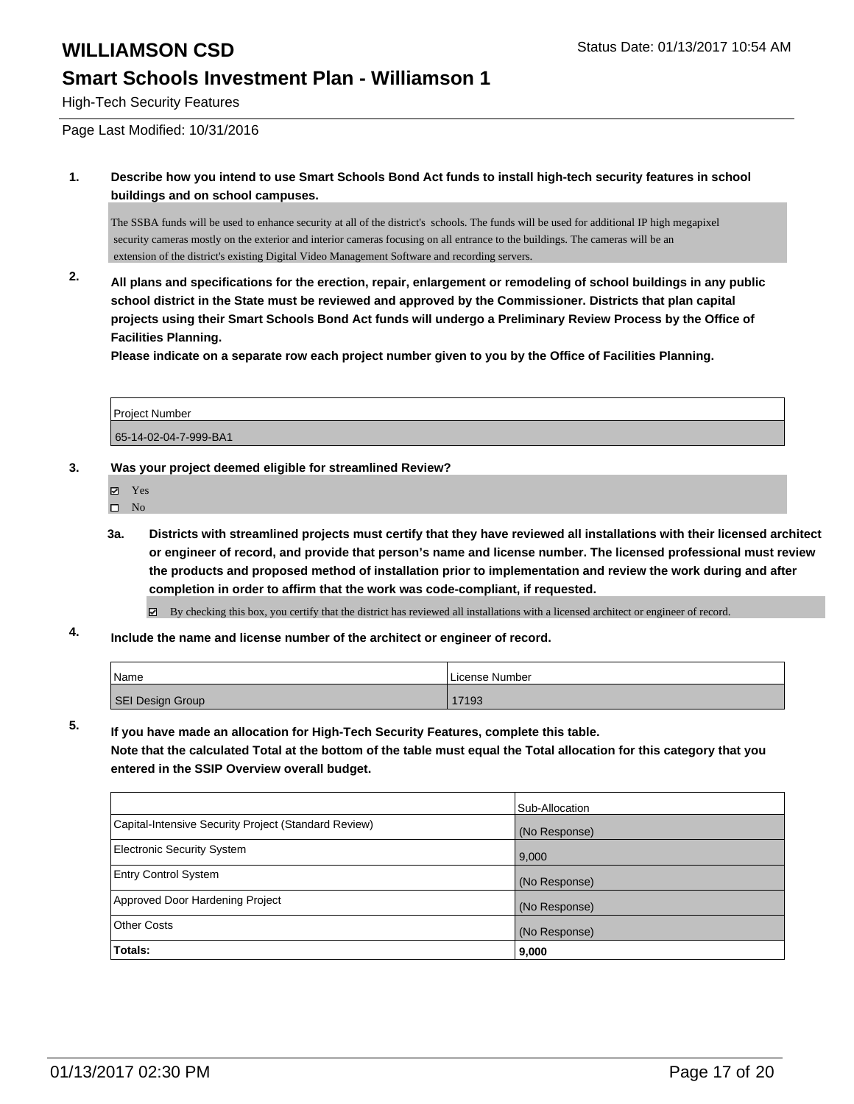High-Tech Security Features

Page Last Modified: 10/31/2016

**1. Describe how you intend to use Smart Schools Bond Act funds to install high-tech security features in school buildings and on school campuses.**

The SSBA funds will be used to enhance security at all of the district's schools. The funds will be used for additional IP high megapixel security cameras mostly on the exterior and interior cameras focusing on all entrance to the buildings. The cameras will be an extension of the district's existing Digital Video Management Software and recording servers.

**2. All plans and specifications for the erection, repair, enlargement or remodeling of school buildings in any public school district in the State must be reviewed and approved by the Commissioner. Districts that plan capital projects using their Smart Schools Bond Act funds will undergo a Preliminary Review Process by the Office of Facilities Planning.** 

**Please indicate on a separate row each project number given to you by the Office of Facilities Planning.**

| Project Number        |  |
|-----------------------|--|
|                       |  |
| 65-14-02-04-7-999-BA1 |  |

### **3. Was your project deemed eligible for streamlined Review?**

- Yes
- $\square$  No
- **3a. Districts with streamlined projects must certify that they have reviewed all installations with their licensed architect or engineer of record, and provide that person's name and license number. The licensed professional must review the products and proposed method of installation prior to implementation and review the work during and after completion in order to affirm that the work was code-compliant, if requested.**

By checking this box, you certify that the district has reviewed all installations with a licensed architect or engineer of record.

**4. Include the name and license number of the architect or engineer of record.**

| Name             | License Number |
|------------------|----------------|
| SEI Design Group | 17193          |

**5. If you have made an allocation for High-Tech Security Features, complete this table.**

**Note that the calculated Total at the bottom of the table must equal the Total allocation for this category that you entered in the SSIP Overview overall budget.**

|                                                      | Sub-Allocation |
|------------------------------------------------------|----------------|
| Capital-Intensive Security Project (Standard Review) | (No Response)  |
| Electronic Security System                           | 9,000          |
| <b>Entry Control System</b>                          | (No Response)  |
| Approved Door Hardening Project                      | (No Response)  |
| <b>Other Costs</b>                                   | (No Response)  |
| Totals:                                              | 9,000          |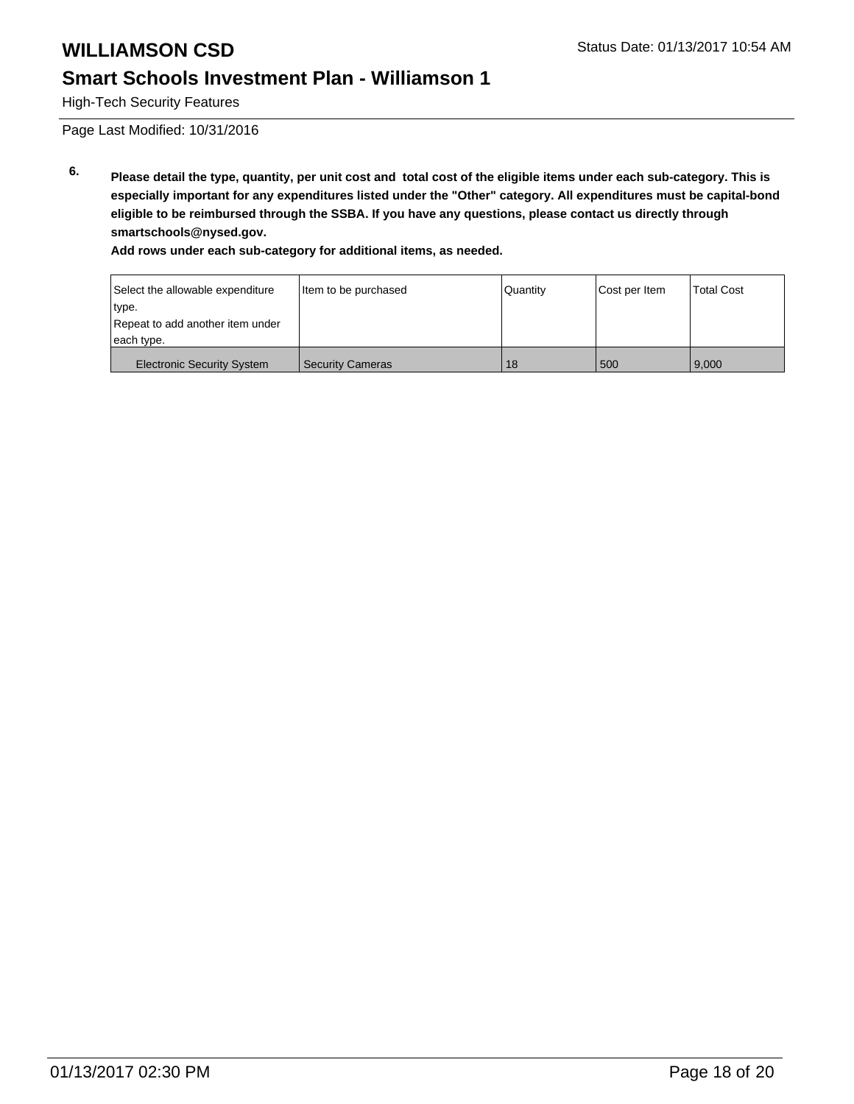High-Tech Security Features

Page Last Modified: 10/31/2016

**6. Please detail the type, quantity, per unit cost and total cost of the eligible items under each sub-category. This is especially important for any expenditures listed under the "Other" category. All expenditures must be capital-bond eligible to be reimbursed through the SSBA. If you have any questions, please contact us directly through smartschools@nysed.gov.**

| Select the allowable expenditure  | Item to be purchased    | Quantity | Cost per Item | <b>Total Cost</b> |
|-----------------------------------|-------------------------|----------|---------------|-------------------|
| type.                             |                         |          |               |                   |
| Repeat to add another item under  |                         |          |               |                   |
| each type.                        |                         |          |               |                   |
| <b>Electronic Security System</b> | <b>Security Cameras</b> | 18       | 500           | 9.000             |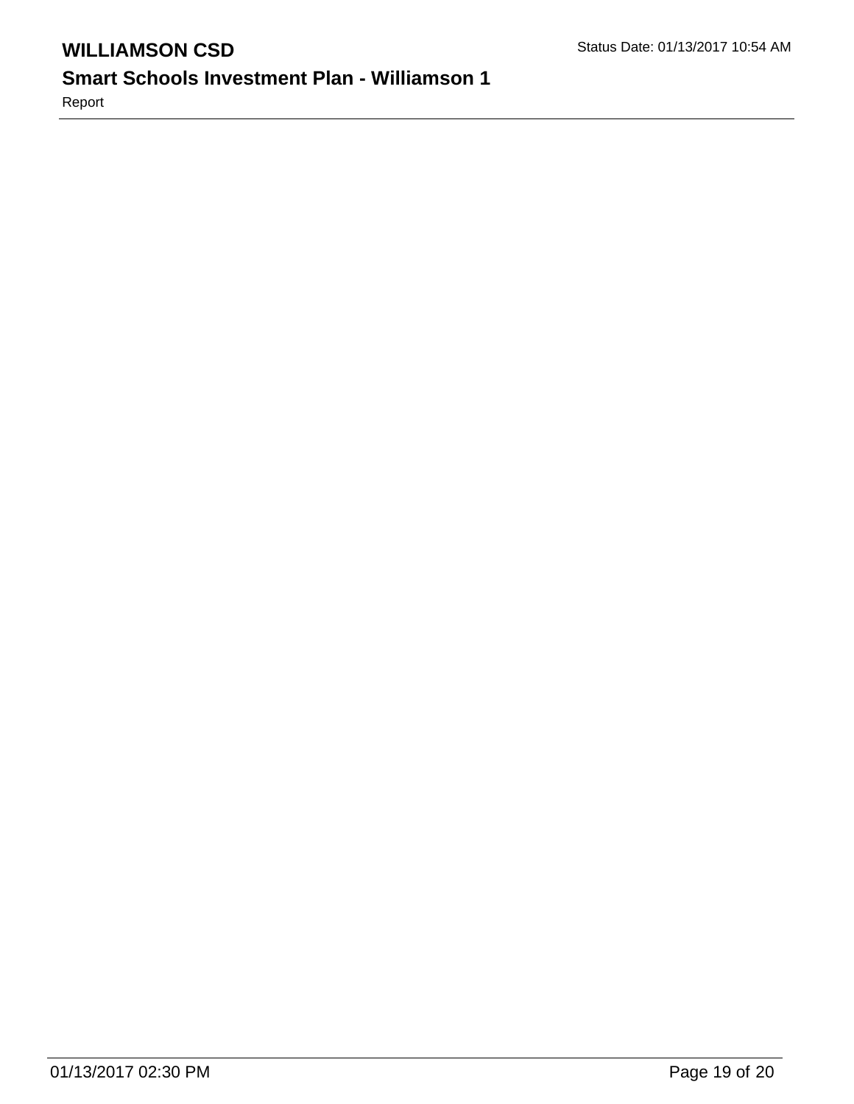Report